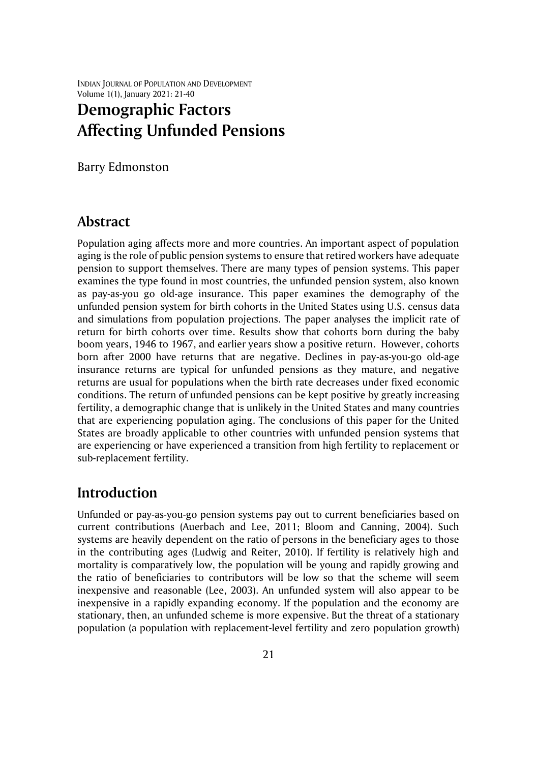INDIAN JOURNAL OF POPULATION AND DEVELOPMENT Volume 1(1), January 2021: 21-40

# **Demographic Factors Affecting Unfunded Pensions**

Barry Edmonston

### **Abstract**

Population aging affects more and more countries. An important aspect of population aging is the role of public pension systems to ensure that retired workers have adequate pension to support themselves. There are many types of pension systems. This paper examines the type found in most countries, the unfunded pension system, also known as pay-as-you go old-age insurance. This paper examines the demography of the unfunded pension system for birth cohorts in the United States using U.S. census data and simulations from population projections. The paper analyses the implicit rate of return for birth cohorts over time. Results show that cohorts born during the baby boom years, 1946 to 1967, and earlier years show a positive return. However, cohorts born after 2000 have returns that are negative. Declines in pay-as-you-go old-age insurance returns are typical for unfunded pensions as they mature, and negative returns are usual for populations when the birth rate decreases under fixed economic conditions. The return of unfunded pensions can be kept positive by greatly increasing fertility, a demographic change that is unlikely in the United States and many countries that are experiencing population aging. The conclusions of this paper for the United States are broadly applicable to other countries with unfunded pension systems that are experiencing or have experienced a transition from high fertility to replacement or sub-replacement fertility.

## **Introduction**

Unfunded or pay-as-you-go pension systems pay out to current beneficiaries based on current contributions (Auerbach and Lee, 2011; Bloom and Canning, 2004). Such systems are heavily dependent on the ratio of persons in the beneficiary ages to those in the contributing ages (Ludwig and Reiter, 2010). If fertility is relatively high and mortality is comparatively low, the population will be young and rapidly growing and the ratio of beneficiaries to contributors will be low so that the scheme will seem inexpensive and reasonable (Lee, 2003). An unfunded system will also appear to be inexpensive in a rapidly expanding economy. If the population and the economy are stationary, then, an unfunded scheme is more expensive. But the threat of a stationary population (a population with replacement-level fertility and zero population growth)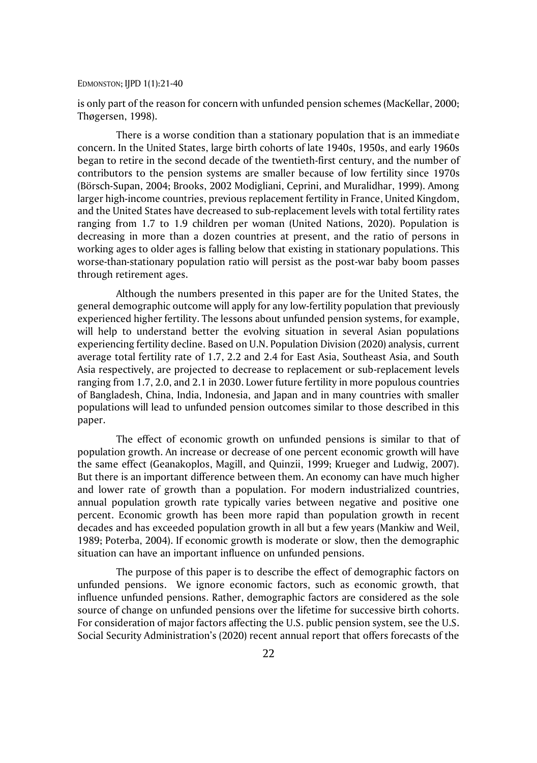is only part of the reason for concern with unfunded pension schemes (MacKellar, 2000; Thøgersen, 1998).

There is a worse condition than a stationary population that is an immediate concern. In the United States, large birth cohorts of late 1940s, 1950s, and early 1960s began to retire in the second decade of the twentieth-first century, and the number of contributors to the pension systems are smaller because of low fertility since 1970s (Börsch-Supan, 2004; Brooks, 2002 Modigliani, Ceprini, and Muralidhar, 1999). Among larger high-income countries, previous replacement fertility in France, United Kingdom, and the United States have decreased to sub-replacement levels with total fertility rates ranging from 1.7 to 1.9 children per woman (United Nations, 2020). Population is decreasing in more than a dozen countries at present, and the ratio of persons in working ages to older ages is falling below that existing in stationary populations. This worse-than-stationary population ratio will persist as the post-war baby boom passes through retirement ages.

Although the numbers presented in this paper are for the United States, the general demographic outcome will apply for any low-fertility population that previously experienced higher fertility. The lessons about unfunded pension systems, for example, will help to understand better the evolving situation in several Asian populations experiencing fertility decline. Based on U.N. Population Division (2020) analysis, current average total fertility rate of 1.7, 2.2 and 2.4 for East Asia, Southeast Asia, and South Asia respectively, are projected to decrease to replacement or sub-replacement levels ranging from 1.7, 2.0, and 2.1 in 2030. Lower future fertility in more populous countries of Bangladesh, China, India, Indonesia, and Japan and in many countries with smaller populations will lead to unfunded pension outcomes similar to those described in this paper.

The effect of economic growth on unfunded pensions is similar to that of population growth. An increase or decrease of one percent economic growth will have the same effect (Geanakoplos, Magill, and Quinzii, 1999; Krueger and Ludwig, 2007). But there is an important difference between them. An economy can have much higher and lower rate of growth than a population. For modern industrialized countries, annual population growth rate typically varies between negative and positive one percent. Economic growth has been more rapid than population growth in recent decades and has exceeded population growth in all but a few years (Mankiw and Weil, 1989; Poterba, 2004). If economic growth is moderate or slow, then the demographic situation can have an important influence on unfunded pensions.

The purpose of this paper is to describe the effect of demographic factors on unfunded pensions. We ignore economic factors, such as economic growth, that influence unfunded pensions. Rather, demographic factors are considered as the sole source of change on unfunded pensions over the lifetime for successive birth cohorts. For consideration of major factors affecting the U.S. public pension system, see the U.S. Social Security Administration's (2020) recent annual report that offers forecasts of the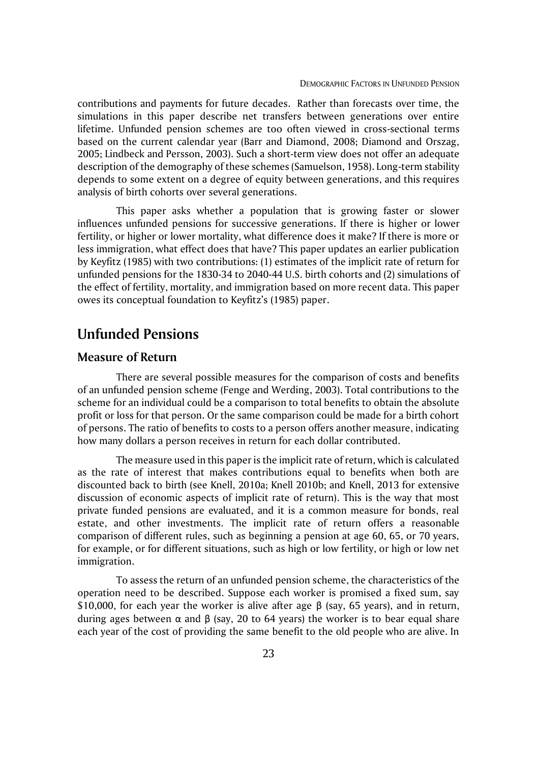contributions and payments for future decades. Rather than forecasts over time, the simulations in this paper describe net transfers between generations over entire lifetime. Unfunded pension schemes are too often viewed in cross-sectional terms based on the current calendar year (Barr and Diamond, 2008; Diamond and Orszag, 2005; Lindbeck and Persson, 2003). Such a short-term view does not offer an adequate description of the demography of these schemes (Samuelson, 1958). Long-term stability depends to some extent on a degree of equity between generations, and this requires analysis of birth cohorts over several generations.

This paper asks whether a population that is growing faster or slower influences unfunded pensions for successive generations. If there is higher or lower fertility, or higher or lower mortality, what difference does it make? If there is more or less immigration, what effect does that have? This paper updates an earlier publication by Keyfitz (1985) with two contributions: (1) estimates of the implicit rate of return for unfunded pensions for the 1830-34 to 2040-44 U.S. birth cohorts and (2) simulations of the effect of fertility, mortality, and immigration based on more recent data. This paper owes its conceptual foundation to Keyfitz's (1985) paper.

## **Unfunded Pensions**

### **Measure of Return**

There are several possible measures for the comparison of costs and benefits of an unfunded pension scheme (Fenge and Werding, 2003). Total contributions to the scheme for an individual could be a comparison to total benefits to obtain the absolute profit or loss for that person. Or the same comparison could be made for a birth cohort of persons. The ratio of benefits to costs to a person offers another measure, indicating how many dollars a person receives in return for each dollar contributed.

The measure used in this paper is the implicit rate of return, which is calculated as the rate of interest that makes contributions equal to benefits when both are discounted back to birth (see Knell, 2010a; Knell 2010b; and Knell, 2013 for extensive discussion of economic aspects of implicit rate of return). This is the way that most private funded pensions are evaluated, and it is a common measure for bonds, real estate, and other investments. The implicit rate of return offers a reasonable comparison of different rules, such as beginning a pension at age 60, 65, or 70 years, for example, or for different situations, such as high or low fertility, or high or low net immigration.

To assess the return of an unfunded pension scheme, the characteristics of the operation need to be described. Suppose each worker is promised a fixed sum, say \$10,000, for each year the worker is alive after age β (say, 65 years), and in return, during ages between  $\alpha$  and  $\beta$  (say, 20 to 64 years) the worker is to bear equal share each year of the cost of providing the same benefit to the old people who are alive. In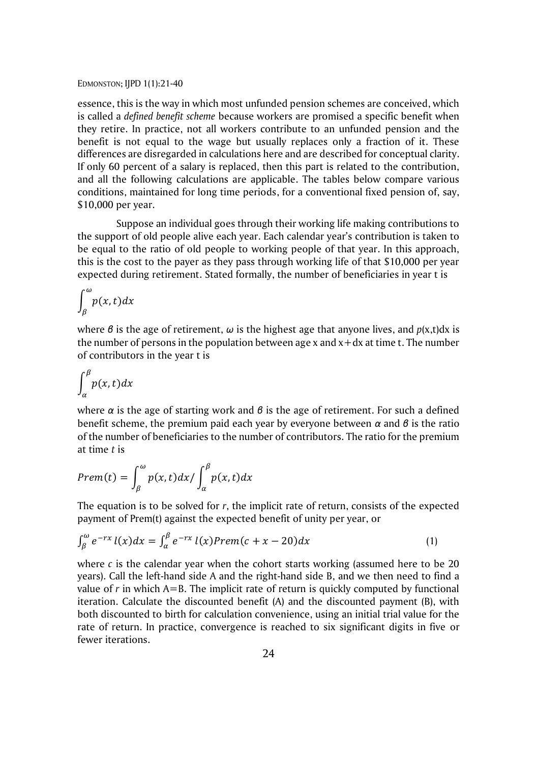essence, this is the way in which most unfunded pension schemes are conceived, which is called a *defined benefit scheme* because workers are promised a specific benefit when they retire. In practice, not all workers contribute to an unfunded pension and the benefit is not equal to the wage but usually replaces only a fraction of it. These differences are disregarded in calculations here and are described for conceptual clarity. If only 60 percent of a salary is replaced, then this part is related to the contribution, and all the following calculations are applicable. The tables below compare various conditions, maintained for long time periods, for a conventional fixed pension of, say, \$10,000 per year.

Suppose an individual goes through their working life making contributions to the support of old people alive each year. Each calendar year's contribution is taken to be equal to the ratio of old people to working people of that year. In this approach, this is the cost to the payer as they pass through working life of that \$10,000 per year expected during retirement. Stated formally, the number of beneficiaries in year t is

$$
\int_{\beta}^{\omega} p(x, t) dx
$$

where *β* is the age of retirement, *ω* is the highest age that anyone lives, and *p*(x,t)dx is the number of persons in the population between age x and  $x + dx$  at time t. The number of contributors in the year t is

$$
\int_{\alpha}^{\beta} p(x, t) dx
$$

where *α* is the age of starting work and *β* is the age of retirement. For such a defined benefit scheme, the premium paid each year by everyone between *α* and *β* is the ratio of the number of beneficiaries to the number of contributors. The ratio for the premium at time *t* is

$$
Prem(t) = \int_{\beta}^{\omega} p(x, t) dx / \int_{\alpha}^{\beta} p(x, t) dx
$$

The equation is to be solved for *r*, the implicit rate of return, consists of the expected payment of Prem(t) against the expected benefit of unity per year, or

$$
\int_{\beta}^{\omega} e^{-rx} l(x) dx = \int_{\alpha}^{\beta} e^{-rx} l(x) Prem(c+x-20) dx \tag{1}
$$

where  $c$  is the calendar year when the cohort starts working (assumed here to be 20 years). Call the left-hand side A and the right-hand side B, and we then need to find a value of *r* in which A=B. The implicit rate of return is quickly computed by functional iteration. Calculate the discounted benefit (A) and the discounted payment (B), with both discounted to birth for calculation convenience, using an initial trial value for the rate of return. In practice, convergence is reached to six significant digits in five or fewer iterations.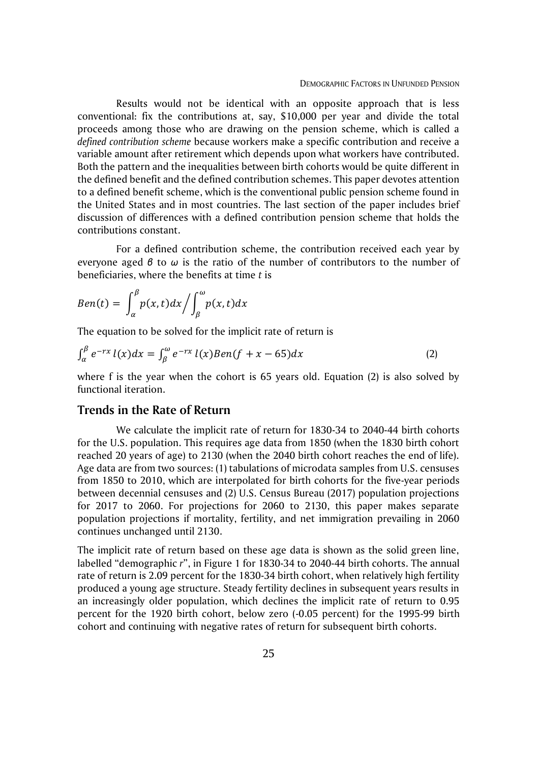Results would not be identical with an opposite approach that is less conventional: fix the contributions at, say, \$10,000 per year and divide the total proceeds among those who are drawing on the pension scheme, which is called a *defined contribution scheme* because workers make a specific contribution and receive a variable amount after retirement which depends upon what workers have contributed. Both the pattern and the inequalities between birth cohorts would be quite different in the defined benefit and the defined contribution schemes. This paper devotes attention to a defined benefit scheme, which is the conventional public pension scheme found in the United States and in most countries. The last section of the paper includes brief discussion of differences with a defined contribution pension scheme that holds the contributions constant.

For a defined contribution scheme, the contribution received each year by everyone aged *β* to *ω* is the ratio of the number of contributors to the number of beneficiaries, where the benefits at time *t* is

$$
Ben(t) = \int_{\alpha}^{\beta} p(x, t) dx / \int_{\beta}^{\omega} p(x, t) dx
$$

The equation to be solved for the implicit rate of return is

$$
\int_{\alpha}^{\beta} e^{-rx} l(x) dx = \int_{\beta}^{\omega} e^{-rx} l(x) Ben(f + x - 65) dx \tag{2}
$$

where f is the year when the cohort is 65 years old. Equation (2) is also solved by functional iteration.

### **Trends in the Rate of Return**

We calculate the implicit rate of return for 1830-34 to 2040-44 birth cohorts for the U.S. population. This requires age data from 1850 (when the 1830 birth cohort reached 20 years of age) to 2130 (when the 2040 birth cohort reaches the end of life). Age data are from two sources: (1) tabulations of microdata samples from U.S. censuses from 1850 to 2010, which are interpolated for birth cohorts for the five-year periods between decennial censuses and (2) U.S. Census Bureau (2017) population projections for 2017 to 2060. For projections for 2060 to 2130, this paper makes separate population projections if mortality, fertility, and net immigration prevailing in 2060 continues unchanged until 2130.

The implicit rate of return based on these age data is shown as the solid green line, labelled "demographic *r*", in Figure 1 for 1830-34 to 2040-44 birth cohorts. The annual rate of return is 2.09 percent for the 1830-34 birth cohort, when relatively high fertility produced a young age structure. Steady fertility declines in subsequent years results in an increasingly older population, which declines the implicit rate of return to 0.95 percent for the 1920 birth cohort, below zero (-0.05 percent) for the 1995-99 birth cohort and continuing with negative rates of return for subsequent birth cohorts.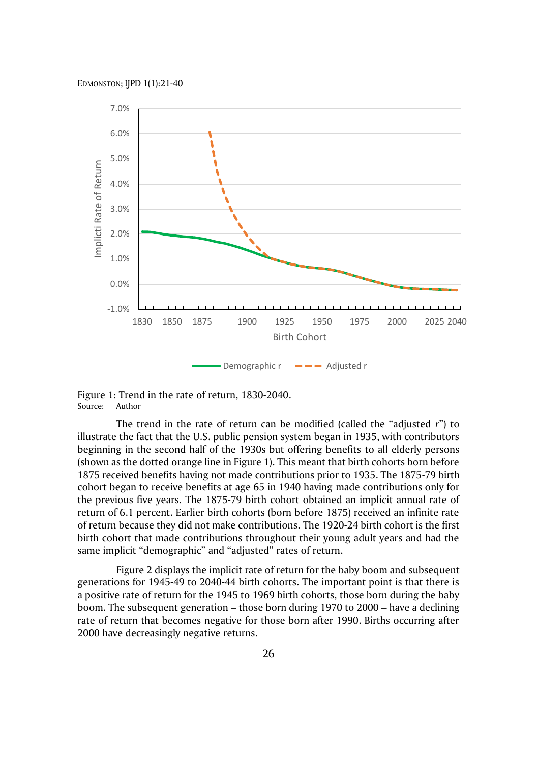

Figure 1: Trend in the rate of return, 1830-2040. Source: Author

The trend in the rate of return can be modified (called the "adjusted *r*") to illustrate the fact that the U.S. public pension system began in 1935, with contributors beginning in the second half of the 1930s but offering benefits to all elderly persons (shown as the dotted orange line in Figure 1). This meant that birth cohorts born before 1875 received benefits having not made contributions prior to 1935. The 1875-79 birth cohort began to receive benefits at age 65 in 1940 having made contributions only for the previous five years. The 1875-79 birth cohort obtained an implicit annual rate of return of 6.1 percent. Earlier birth cohorts (born before 1875) received an infinite rate of return because they did not make contributions. The 1920-24 birth cohort is the first birth cohort that made contributions throughout their young adult years and had the same implicit "demographic" and "adjusted" rates of return.

Figure 2 displays the implicit rate of return for the baby boom and subsequent generations for 1945-49 to 2040-44 birth cohorts. The important point is that there is a positive rate of return for the 1945 to 1969 birth cohorts, those born during the baby boom. The subsequent generation – those born during 1970 to 2000 – have a declining rate of return that becomes negative for those born after 1990. Births occurring after 2000 have decreasingly negative returns.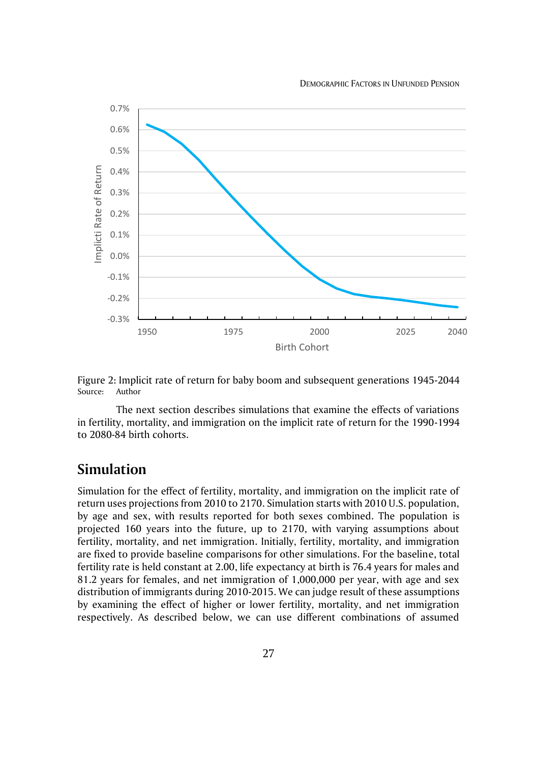DEMOGRAPHIC FACTORS IN UNFUNDED PENSION





The next section describes simulations that examine the effects of variations in fertility, mortality, and immigration on the implicit rate of return for the 1990-1994 to 2080-84 birth cohorts.

### **Simulation**

Simulation for the effect of fertility, mortality, and immigration on the implicit rate of return uses projections from 2010 to 2170. Simulation starts with 2010 U.S. population, by age and sex, with results reported for both sexes combined. The population is projected 160 years into the future, up to 2170, with varying assumptions about fertility, mortality, and net immigration. Initially, fertility, mortality, and immigration are fixed to provide baseline comparisons for other simulations. For the baseline, total fertility rate is held constant at 2.00, life expectancy at birth is 76.4 years for males and 81.2 years for females, and net immigration of 1,000,000 per year, with age and sex distribution of immigrants during 2010-2015. We can judge result of these assumptions by examining the effect of higher or lower fertility, mortality, and net immigration respectively. As described below, we can use different combinations of assumed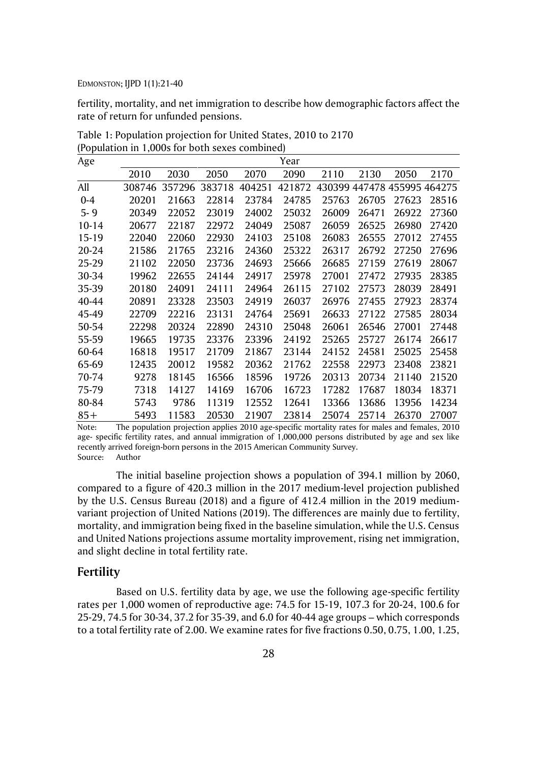fertility, mortality, and net immigration to describe how demographic factors affect the rate of return for unfunded pensions.

| Age       |        |        |        |        | Year   |       |       |                             |       |
|-----------|--------|--------|--------|--------|--------|-------|-------|-----------------------------|-------|
|           | 2010   | 2030   | 2050   | 2070   | 2090   | 2110  | 2130  | 2050                        | 2170  |
| All       | 308746 | 357296 | 383718 | 404251 | 421872 |       |       | 430399 447478 455995 464275 |       |
| $0 - 4$   | 20201  | 21663  | 22814  | 23784  | 24785  | 25763 | 26705 | 27623                       | 28516 |
| $5 - 9$   | 20349  | 22052  | 23019  | 24002  | 25032  | 26009 | 26471 | 26922                       | 27360 |
| $10 - 14$ | 20677  | 22187  | 22972  | 24049  | 25087  | 26059 | 26525 | 26980                       | 27420 |
| 15-19     | 22040  | 22060  | 22930  | 24103  | 25108  | 26083 | 26555 | 27012                       | 27455 |
| 20-24     | 21586  | 21765  | 23216  | 24360  | 25322  | 26317 | 26792 | 27250                       | 27696 |
| 25-29     | 21102  | 22050  | 23736  | 24693  | 25666  | 26685 | 27159 | 27619                       | 28067 |
| 30-34     | 19962  | 22655  | 24144  | 24917  | 25978  | 27001 | 27472 | 27935                       | 28385 |
| 35-39     | 20180  | 24091  | 24111  | 24964  | 26115  | 27102 | 27573 | 28039                       | 28491 |
| 40-44     | 20891  | 23328  | 23503  | 24919  | 26037  | 26976 | 27455 | 27923                       | 28374 |
| 45-49     | 22709  | 22216  | 23131  | 24764  | 25691  | 26633 | 27122 | 27585                       | 28034 |
| 50-54     | 22298  | 20324  | 22890  | 24310  | 25048  | 26061 | 26546 | 27001                       | 27448 |
| 55-59     | 19665  | 19735  | 23376  | 23396  | 24192  | 25265 | 25727 | 26174                       | 26617 |
| 60-64     | 16818  | 19517  | 21709  | 21867  | 23144  | 24152 | 24581 | 25025                       | 25458 |
| 65-69     | 12435  | 20012  | 19582  | 20362  | 21762  | 22558 | 22973 | 23408                       | 23821 |
| 70-74     | 9278   | 18145  | 16566  | 18596  | 19726  | 20313 | 20734 | 21140                       | 21520 |
| 75-79     | 7318   | 14127  | 14169  | 16706  | 16723  | 17282 | 17687 | 18034                       | 18371 |
| 80-84     | 5743   | 9786   | 11319  | 12552  | 12641  | 13366 | 13686 | 13956                       | 14234 |
| $85+$     | 5493   | 11583  | 20530  | 21907  | 23814  | 25074 | 25714 | 26370                       | 27007 |

Table 1: Population projection for United States, 2010 to 2170 (Population in 1,000s for both sexes combined)

Note: The population projection applies 2010 age-specific mortality rates for males and females, 2010 age- specific fertility rates, and annual immigration of 1,000,000 persons distributed by age and sex like recently arrived foreign-born persons in the 2015 American Community Survey. Source: Author

The initial baseline projection shows a population of 394.1 million by 2060, compared to a figure of 420.3 million in the 2017 medium-level projection published by the U.S. Census Bureau (2018) and a figure of 412.4 million in the 2019 mediumvariant projection of United Nations (2019). The differences are mainly due to fertility, mortality, and immigration being fixed in the baseline simulation, while the U.S. Census and United Nations projections assume mortality improvement, rising net immigration, and slight decline in total fertility rate.

### **Fertility**

Based on U.S. fertility data by age, we use the following age-specific fertility rates per 1,000 women of reproductive age: 74.5 for 15-19, 107.3 for 20-24, 100.6 for 25-29, 74.5 for 30-34, 37.2 for 35-39, and 6.0 for 40-44 age groups – which corresponds to a total fertility rate of 2.00. We examine rates for five fractions 0.50, 0.75, 1.00, 1.25,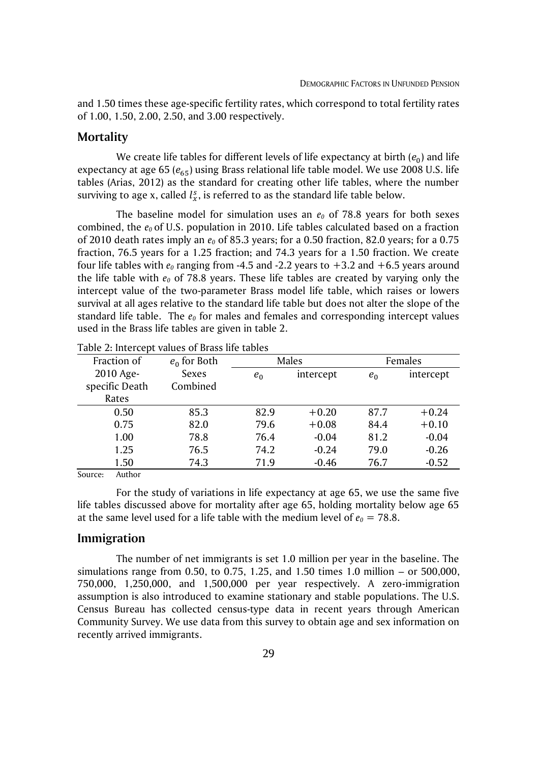and 1.50 times these age-specific fertility rates, which correspond to total fertility rates of 1.00, 1.50, 2.00, 2.50, and 3.00 respectively.

#### **Mortality**

We create life tables for different levels of life expectancy at birth  $\left( e_0 \right)$  and life expectancy at age 65 ( $e_{65}$ ) using Brass relational life table model. We use 2008 U.S. life tables (Arias, 2012) as the standard for creating other life tables, where the number surviving to age x, called  $l_x^s$ , is referred to as the standard life table below.

The baseline model for simulation uses an  $e_0$  of 78.8 years for both sexes combined, the *e0* of U.S. population in 2010. Life tables calculated based on a fraction of 2010 death rates imply an *e<sup>0</sup>* of 85.3 years; for a 0.50 fraction, 82.0 years; for a 0.75 fraction, 76.5 years for a 1.25 fraction; and 74.3 years for a 1.50 fraction. We create four life tables with  $e_0$  ranging from -4.5 and -2.2 years to  $+3.2$  and  $+6.5$  years around the life table with  $e_0$  of 78.8 years. These life tables are created by varying only the intercept value of the two-parameter Brass model life table, which raises or lowers survival at all ages relative to the standard life table but does not alter the slope of the standard life table. The *e<sup>0</sup>* for males and females and corresponding intercept values used in the Brass life tables are given in table 2.

| Fraction of    | $e_0$ for Both |       | Males     | Females |           |  |
|----------------|----------------|-------|-----------|---------|-----------|--|
| 2010 Age-      | Sexes          | $e_0$ | intercept | $e_0$   | intercept |  |
| specific Death | Combined       |       |           |         |           |  |
| Rates          |                |       |           |         |           |  |
| 0.50           | 85.3           | 82.9  | $+0.20$   | 87.7    | $+0.24$   |  |
| 0.75           | 82.0           | 79.6  | $+0.08$   | 84.4    | $+0.10$   |  |
| 1.00           | 78.8           | 76.4  | $-0.04$   | 81.2    | $-0.04$   |  |
| 1.25           | 76.5           | 74.2  | $-0.24$   | 79.0    | $-0.26$   |  |
| 1.50           | 74.3           | 71.9  | $-0.46$   | 76.7    | $-0.52$   |  |

Table 2: Intercept values of Brass life tables

Source: Author

For the study of variations in life expectancy at age 65, we use the same five life tables discussed above for mortality after age 65, holding mortality below age 65 at the same level used for a life table with the medium level of  $e_0 = 78.8$ .

### **Immigration**

The number of net immigrants is set 1.0 million per year in the baseline. The simulations range from 0.50, to 0.75, 1.25, and 1.50 times 1.0 million – or 500,000, 750,000, 1,250,000, and 1,500,000 per year respectively. A zero-immigration assumption is also introduced to examine stationary and stable populations. The U.S. Census Bureau has collected census-type data in recent years through American Community Survey. We use data from this survey to obtain age and sex information on recently arrived immigrants.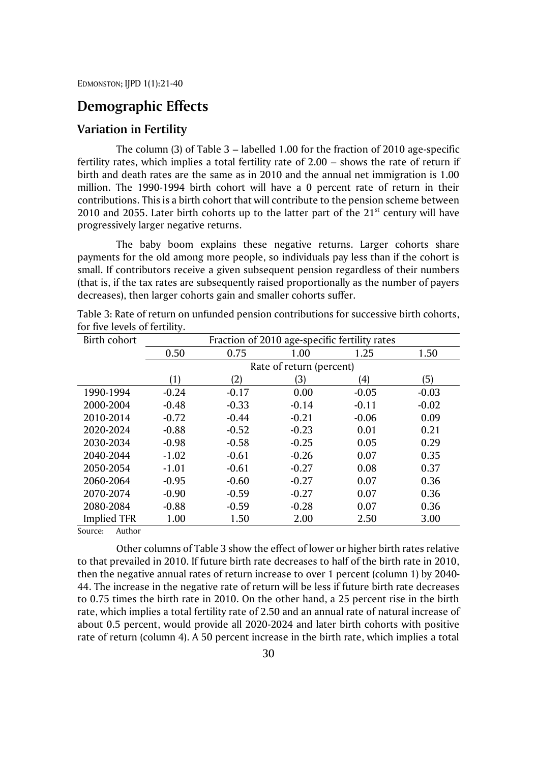## **Demographic Effects**

### **Variation in Fertility**

The column (3) of Table 3 – labelled 1.00 for the fraction of 2010 age-specific fertility rates, which implies a total fertility rate of 2.00 – shows the rate of return if birth and death rates are the same as in 2010 and the annual net immigration is 1.00 million. The 1990-1994 birth cohort will have a 0 percent rate of return in their contributions. This is a birth cohort that will contribute to the pension scheme between 2010 and 2055. Later birth cohorts up to the latter part of the  $21<sup>st</sup>$  century will have progressively larger negative returns.

The baby boom explains these negative returns. Larger cohorts share payments for the old among more people, so individuals pay less than if the cohort is small. If contributors receive a given subsequent pension regardless of their numbers (that is, if the tax rates are subsequently raised proportionally as the number of payers decreases), then larger cohorts gain and smaller cohorts suffer.

| Birth cohort       | Fraction of 2010 age-specific fertility rates |         |         |         |         |  |  |
|--------------------|-----------------------------------------------|---------|---------|---------|---------|--|--|
|                    | 0.50                                          | 0.75    | 1.00    | 1.25    | 1.50    |  |  |
|                    |                                               |         |         |         |         |  |  |
|                    | (1)                                           | (2)     | (3)     | (4)     | (5)     |  |  |
| 1990-1994          | $-0.24$                                       | $-0.17$ | 0.00    | $-0.05$ | $-0.03$ |  |  |
| 2000-2004          | $-0.48$                                       | $-0.33$ | $-0.14$ | $-0.11$ | $-0.02$ |  |  |
| 2010-2014          | $-0.72$                                       | $-0.44$ | $-0.21$ | $-0.06$ | 0.09    |  |  |
| 2020-2024          | $-0.88$                                       | $-0.52$ | $-0.23$ | 0.01    | 0.21    |  |  |
| 2030-2034          | $-0.98$                                       | $-0.58$ | $-0.25$ | 0.05    | 0.29    |  |  |
| 2040-2044          | $-1.02$                                       | $-0.61$ | $-0.26$ | 0.07    | 0.35    |  |  |
| 2050-2054          | $-1.01$                                       | $-0.61$ | $-0.27$ | 0.08    | 0.37    |  |  |
| 2060-2064          | $-0.95$                                       | $-0.60$ | $-0.27$ | 0.07    | 0.36    |  |  |
| 2070-2074          | $-0.90$                                       | $-0.59$ | $-0.27$ | 0.07    | 0.36    |  |  |
| 2080-2084          | $-0.88$                                       | $-0.59$ | $-0.28$ | 0.07    | 0.36    |  |  |
| <b>Implied TFR</b> | 1.00                                          | 1.50    | 2.00    | 2.50    | 3.00    |  |  |

Table 3: Rate of return on unfunded pension contributions for successive birth cohorts, for five levels of fertility.

Source: Author

Other columns of Table 3 show the effect of lower or higher birth rates relative to that prevailed in 2010. If future birth rate decreases to half of the birth rate in 2010, then the negative annual rates of return increase to over 1 percent (column 1) by 2040- 44. The increase in the negative rate of return will be less if future birth rate decreases to 0.75 times the birth rate in 2010. On the other hand, a 25 percent rise in the birth rate, which implies a total fertility rate of 2.50 and an annual rate of natural increase of about 0.5 percent, would provide all 2020-2024 and later birth cohorts with positive rate of return (column 4). A 50 percent increase in the birth rate, which implies a total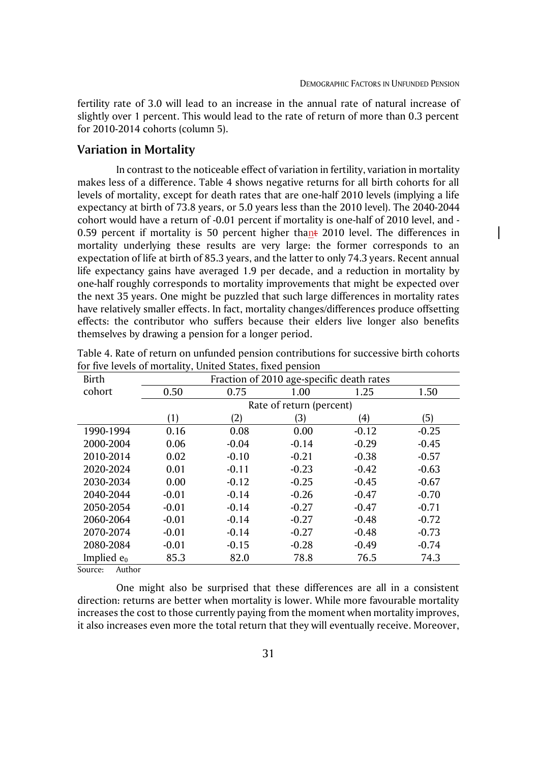fertility rate of 3.0 will lead to an increase in the annual rate of natural increase of slightly over 1 percent. This would lead to the rate of return of more than 0.3 percent for 2010-2014 cohorts (column 5).

### **Variation in Mortality**

In contrast to the noticeable effect of variation in fertility, variation in mortality makes less of a difference. Table 4 shows negative returns for all birth cohorts for all levels of mortality, except for death rates that are one-half 2010 levels (implying a life expectancy at birth of 73.8 years, or 5.0 years less than the 2010 level). The 2040-2044 cohort would have a return of -0.01 percent if mortality is one-half of 2010 level, and - 0.59 percent if mortality is 50 percent higher thant 2010 level. The differences in mortality underlying these results are very large: the former corresponds to an expectation of life at birth of 85.3 years, and the latter to only 74.3 years. Recent annual life expectancy gains have averaged 1.9 per decade, and a reduction in mortality by one-half roughly corresponds to mortality improvements that might be expected over the next 35 years. One might be puzzled that such large differences in mortality rates have relatively smaller effects. In fact, mortality changes/differences produce offsetting effects: the contributor who suffers because their elders live longer also benefits themselves by drawing a pension for a longer period.

| Birth         | Fraction of 2010 age-specific death rates |         |                          |         |         |  |  |
|---------------|-------------------------------------------|---------|--------------------------|---------|---------|--|--|
| cohort        | 0.50                                      | 0.75    | 1.00                     | 1.25    | 1.50    |  |  |
|               |                                           |         | Rate of return (percent) |         |         |  |  |
|               | (1)                                       | (2)     | (3)                      | (4)     | (5)     |  |  |
| 1990-1994     | 0.16                                      | 0.08    | 0.00                     | $-0.12$ | $-0.25$ |  |  |
| 2000-2004     | 0.06                                      | $-0.04$ | $-0.14$                  | $-0.29$ | $-0.45$ |  |  |
| 2010-2014     | 0.02                                      | $-0.10$ | $-0.21$                  | $-0.38$ | $-0.57$ |  |  |
| 2020-2024     | 0.01                                      | $-0.11$ | $-0.23$                  | $-0.42$ | $-0.63$ |  |  |
| 2030-2034     | 0.00                                      | $-0.12$ | $-0.25$                  | $-0.45$ | $-0.67$ |  |  |
| 2040-2044     | $-0.01$                                   | $-0.14$ | $-0.26$                  | $-0.47$ | $-0.70$ |  |  |
| 2050-2054     | $-0.01$                                   | $-0.14$ | $-0.27$                  | $-0.47$ | $-0.71$ |  |  |
| 2060-2064     | $-0.01$                                   | $-0.14$ | $-0.27$                  | $-0.48$ | $-0.72$ |  |  |
| 2070-2074     | $-0.01$                                   | $-0.14$ | $-0.27$                  | $-0.48$ | $-0.73$ |  |  |
| 2080-2084     | $-0.01$                                   | $-0.15$ | $-0.28$                  | $-0.49$ | $-0.74$ |  |  |
| Implied $e_0$ | 85.3                                      | 82.0    | 78.8                     | 76.5    | 74.3    |  |  |

| Table 4. Rate of return on unfunded pension contributions for successive birth cohorts |  |  |
|----------------------------------------------------------------------------------------|--|--|
| for five levels of mortality, United States, fixed pension                             |  |  |

Source: Author

One might also be surprised that these differences are all in a consistent direction: returns are better when mortality is lower. While more favourable mortality increases the cost to those currently paying from the moment when mortality improves, it also increases even more the total return that they will eventually receive. Moreover,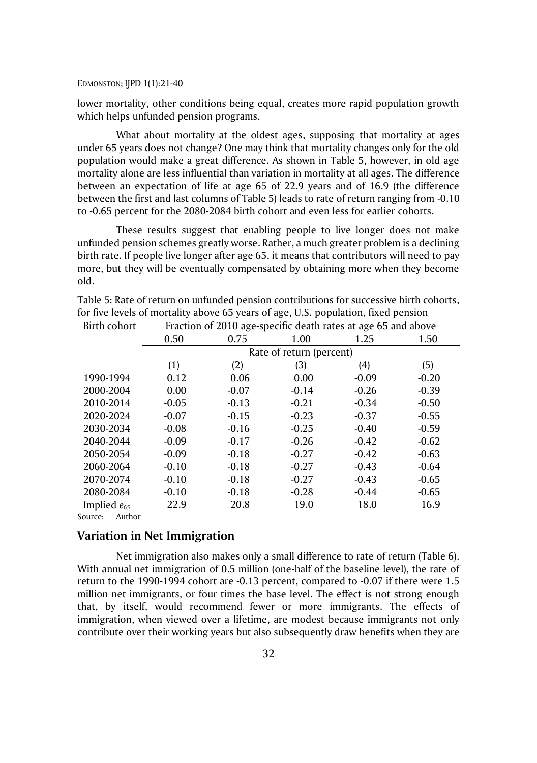lower mortality, other conditions being equal, creates more rapid population growth which helps unfunded pension programs.

What about mortality at the oldest ages, supposing that mortality at ages under 65 years does not change? One may think that mortality changes only for the old population would make a great difference. As shown in Table 5, however, in old age mortality alone are less influential than variation in mortality at all ages. The difference between an expectation of life at age 65 of 22.9 years and of 16.9 (the difference between the first and last columns of Table 5) leads to rate of return ranging from -0.10 to -0.65 percent for the 2080-2084 birth cohort and even less for earlier cohorts.

These results suggest that enabling people to live longer does not make unfunded pension schemes greatly worse. Rather, a much greater problem is a declining birth rate. If people live longer after age 65, it means that contributors will need to pay more, but they will be eventually compensated by obtaining more when they become old.

| Birth cohort     |         |         |                          | Fraction of 2010 age-specific death rates at age 65 and above |         |  |  |
|------------------|---------|---------|--------------------------|---------------------------------------------------------------|---------|--|--|
|                  | 0.50    | 0.75    | 1.00                     | 1.25                                                          | 1.50    |  |  |
|                  |         |         | Rate of return (percent) |                                                               |         |  |  |
|                  | (1)     | (2)     | 3)                       | (4)                                                           | (5)     |  |  |
| 1990-1994        | 0.12    | 0.06    | 0.00                     | $-0.09$                                                       | $-0.20$ |  |  |
| 2000-2004        | 0.00    | $-0.07$ | $-0.14$                  | $-0.26$                                                       | $-0.39$ |  |  |
| 2010-2014        | $-0.05$ | $-0.13$ | $-0.21$                  | $-0.34$                                                       | $-0.50$ |  |  |
| 2020-2024        | $-0.07$ | $-0.15$ | $-0.23$                  | $-0.37$                                                       | $-0.55$ |  |  |
| 2030-2034        | $-0.08$ | $-0.16$ | $-0.25$                  | $-0.40$                                                       | $-0.59$ |  |  |
| 2040-2044        | $-0.09$ | $-0.17$ | $-0.26$                  | $-0.42$                                                       | $-0.62$ |  |  |
| 2050-2054        | $-0.09$ | $-0.18$ | $-0.27$                  | $-0.42$                                                       | $-0.63$ |  |  |
| 2060-2064        | $-0.10$ | $-0.18$ | $-0.27$                  | $-0.43$                                                       | $-0.64$ |  |  |
| 2070-2074        | $-0.10$ | $-0.18$ | $-0.27$                  | $-0.43$                                                       | $-0.65$ |  |  |
| 2080-2084        | $-0.10$ | $-0.18$ | $-0.28$                  | $-0.44$                                                       | $-0.65$ |  |  |
| Implied $e_{65}$ | 22.9    | 20.8    | 19.0                     | 18.0                                                          | 16.9    |  |  |

| Table 5: Rate of return on unfunded pension contributions for successive birth cohorts, |  |  |
|-----------------------------------------------------------------------------------------|--|--|
| for five levels of mortality above 65 years of age, U.S. population, fixed pension      |  |  |

Source: Author

### **Variation in Net Immigration**

Net immigration also makes only a small difference to rate of return (Table 6). With annual net immigration of 0.5 million (one-half of the baseline level), the rate of return to the 1990-1994 cohort are -0.13 percent, compared to -0.07 if there were 1.5 million net immigrants, or four times the base level. The effect is not strong enough that, by itself, would recommend fewer or more immigrants. The effects of immigration, when viewed over a lifetime, are modest because immigrants not only contribute over their working years but also subsequently draw benefits when they are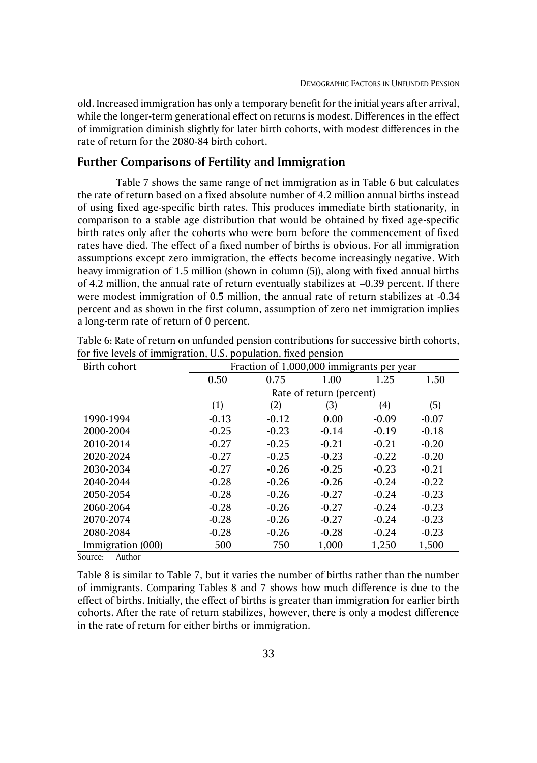old. Increased immigration has only a temporary benefit for the initial years after arrival, while the longer-term generational effect on returns is modest. Differences in the effect of immigration diminish slightly for later birth cohorts, with modest differences in the rate of return for the 2080-84 birth cohort.

### **Further Comparisons of Fertility and Immigration**

Table 7 shows the same range of net immigration as in Table 6 but calculates the rate of return based on a fixed absolute number of 4.2 million annual births instead of using fixed age-specific birth rates. This produces immediate birth stationarity, in comparison to a stable age distribution that would be obtained by fixed age-specific birth rates only after the cohorts who were born before the commencement of fixed rates have died. The effect of a fixed number of births is obvious. For all immigration assumptions except zero immigration, the effects become increasingly negative. With heavy immigration of 1.5 million (shown in column (5)), along with fixed annual births of 4.2 million, the annual rate of return eventually stabilizes at –0.39 percent. If there were modest immigration of 0.5 million, the annual rate of return stabilizes at -0.34 percent and as shown in the first column, assumption of zero net immigration implies a long-term rate of return of 0 percent.

| Birth cohort      | Fraction of 1,000,000 immigrants per year |         |                          |         |         |  |  |  |
|-------------------|-------------------------------------------|---------|--------------------------|---------|---------|--|--|--|
|                   | 0.50                                      | 0.75    | 1.00                     | 1.25    | 1.50    |  |  |  |
|                   |                                           |         | Rate of return (percent) |         |         |  |  |  |
|                   | (1)                                       | (4)     | 5)                       |         |         |  |  |  |
| 1990-1994         | $-0.13$                                   | $-0.12$ | 0.00                     | $-0.09$ | $-0.07$ |  |  |  |
| 2000-2004         | $-0.25$                                   | $-0.23$ | $-0.14$                  | $-0.19$ | $-0.18$ |  |  |  |
| 2010-2014         | $-0.27$                                   | $-0.25$ | $-0.21$                  | $-0.21$ | $-0.20$ |  |  |  |
| 2020-2024         | $-0.27$                                   | $-0.25$ | $-0.23$                  | $-0.22$ | $-0.20$ |  |  |  |
| 2030-2034         | $-0.27$                                   | $-0.26$ | $-0.25$                  | $-0.23$ | $-0.21$ |  |  |  |
| 2040-2044         | $-0.28$                                   | $-0.26$ | $-0.26$                  | $-0.24$ | $-0.22$ |  |  |  |
| 2050-2054         | $-0.28$                                   | $-0.26$ | $-0.27$                  | $-0.24$ | $-0.23$ |  |  |  |
| 2060-2064         | $-0.28$                                   | $-0.26$ | $-0.27$                  | $-0.24$ | $-0.23$ |  |  |  |
| 2070-2074         | $-0.28$                                   | $-0.26$ | $-0.27$                  | $-0.24$ | $-0.23$ |  |  |  |
| 2080-2084         | $-0.28$                                   | $-0.26$ | $-0.28$                  | $-0.24$ | $-0.23$ |  |  |  |
| Immigration (000) | 500                                       | 750     | 1,000                    | 1,250   | 1,500   |  |  |  |

Table 6: Rate of return on unfunded pension contributions for successive birth cohorts, for five levels of immigration, U.S. population, fixed pension

Source: Author

Table 8 is similar to Table 7, but it varies the number of births rather than the number of immigrants. Comparing Tables 8 and 7 shows how much difference is due to the effect of births. Initially, the effect of births is greater than immigration for earlier birth cohorts. After the rate of return stabilizes, however, there is only a modest difference in the rate of return for either births or immigration.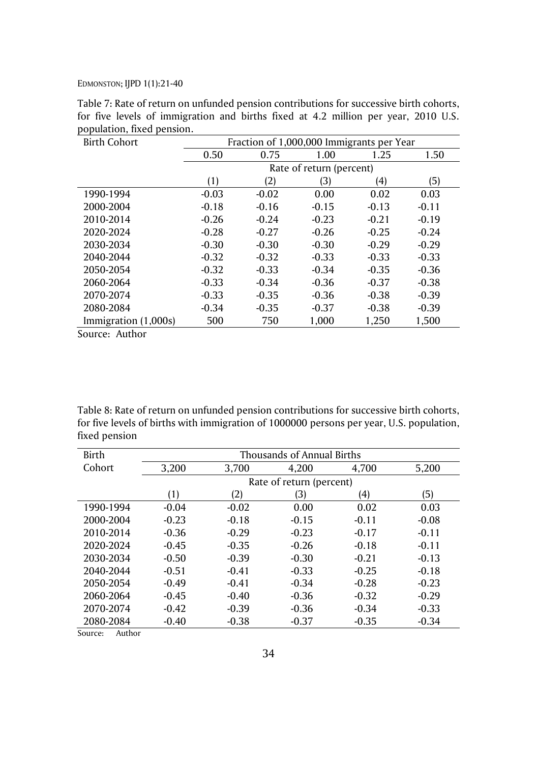| <b>Birth Cohort</b>  | Fraction of 1,000,000 Immigrants per Year |         |                          |                   |         |  |  |
|----------------------|-------------------------------------------|---------|--------------------------|-------------------|---------|--|--|
|                      | 0.50                                      | 0.75    | 1.00                     | 1.25              | 1.50    |  |  |
|                      |                                           |         | Rate of return (percent) |                   |         |  |  |
|                      | (1)                                       | (2)     | 3)                       | $\left( 4\right)$ | (5)     |  |  |
| 1990-1994            | $-0.03$                                   | $-0.02$ | 0.00                     | 0.02              | 0.03    |  |  |
| 2000-2004            | $-0.18$                                   | $-0.16$ | $-0.15$                  | $-0.13$           | $-0.11$ |  |  |
| 2010-2014            | $-0.26$                                   | $-0.24$ | $-0.23$                  | $-0.21$           | $-0.19$ |  |  |
| 2020-2024            | $-0.28$                                   | $-0.27$ | $-0.26$                  | $-0.25$           | $-0.24$ |  |  |
| 2030-2034            | $-0.30$                                   | $-0.30$ | $-0.30$                  | $-0.29$           | $-0.29$ |  |  |
| 2040-2044            | $-0.32$                                   | $-0.32$ | $-0.33$                  | $-0.33$           | $-0.33$ |  |  |
| 2050-2054            | $-0.32$                                   | $-0.33$ | $-0.34$                  | $-0.35$           | $-0.36$ |  |  |
| 2060-2064            | $-0.33$                                   | $-0.34$ | $-0.36$                  | $-0.37$           | $-0.38$ |  |  |
| 2070-2074            | $-0.33$                                   | $-0.35$ | $-0.36$                  | $-0.38$           | $-0.39$ |  |  |
| 2080-2084            | $-0.34$                                   | $-0.35$ | $-0.37$                  | $-0.38$           | $-0.39$ |  |  |
| Immigration (1,000s) | 500                                       | 750     | 1,000                    | 1,250             | 1,500   |  |  |

Table 7: Rate of return on unfunded pension contributions for successive birth cohorts, for five levels of immigration and births fixed at 4.2 million per year, 2010 U.S. population, fixed pension.

Source: Author

Table 8: Rate of return on unfunded pension contributions for successive birth cohorts, for five levels of births with immigration of 1000000 persons per year, U.S. population, fixed pension

| Birth     | Thousands of Annual Births |         |                          |         |         |  |  |  |
|-----------|----------------------------|---------|--------------------------|---------|---------|--|--|--|
| Cohort    | 3,200                      | 3.700   | 4.200                    | 4,700   | 5,200   |  |  |  |
|           |                            |         | Rate of return (percent) |         |         |  |  |  |
|           | (1)                        | (2)     | (3)                      | (4)     | (5)     |  |  |  |
| 1990-1994 | $-0.04$                    | $-0.02$ | 0.00                     | 0.02    | 0.03    |  |  |  |
| 2000-2004 | $-0.23$                    | $-0.18$ | $-0.15$                  | $-0.11$ | $-0.08$ |  |  |  |
| 2010-2014 | $-0.36$                    | $-0.29$ | $-0.23$                  | $-0.17$ | $-0.11$ |  |  |  |
| 2020-2024 | $-0.45$                    | $-0.35$ | $-0.26$                  | $-0.18$ | $-0.11$ |  |  |  |
| 2030-2034 | $-0.50$                    | $-0.39$ | $-0.30$                  | $-0.21$ | $-0.13$ |  |  |  |
| 2040-2044 | $-0.51$                    | $-0.41$ | $-0.33$                  | $-0.25$ | $-0.18$ |  |  |  |
| 2050-2054 | $-0.49$                    | $-0.41$ | $-0.34$                  | $-0.28$ | $-0.23$ |  |  |  |
| 2060-2064 | $-0.45$                    | $-0.40$ | $-0.36$                  | $-0.32$ | $-0.29$ |  |  |  |
| 2070-2074 | $-0.42$                    | $-0.39$ | $-0.36$                  | $-0.34$ | $-0.33$ |  |  |  |
| 2080-2084 | $-0.40$                    | $-0.38$ | $-0.37$                  | $-0.35$ | $-0.34$ |  |  |  |

Source: Author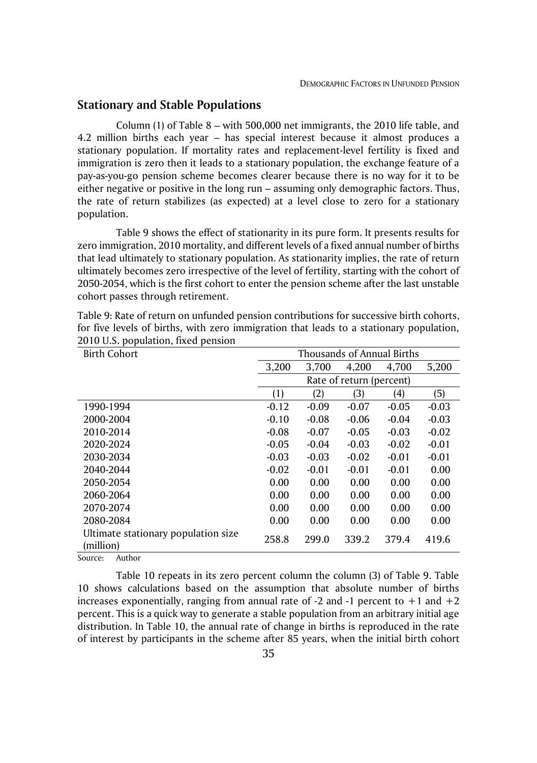### **Stationary and Stable Populations**

Column (1) of Table 8 – with 500,000 net immigrants, the 2010 life table, and 4.2 million births each year – has special interest because it almost produces a stationary population. If mortality rates and replacement-level fertility is fixed and immigration is zero then it leads to a stationary population, the exchange feature of a pay-as-you-go pension scheme becomes clearer because there is no way for it to be either negative or positive in the long run – assuming only demographic factors. Thus, the rate of return stabilizes (as expected) at a level close to zero for a stationary population.

Table 9 shows the effect of stationarity in its pure form. It presents results for zero immigration, 2010 mortality, and different levels of a fixed annual number of births that lead ultimately to stationary population. As stationarity implies, the rate of return ultimately becomes zero irrespective of the level of fertility, starting with the cohort of 2050-2054, which is the first cohort to enter the pension scheme after the last unstable cohort passes through retirement.

| <b>Birth Cohort</b>                              | Thousands of Annual Births |         |                          |         |         |  |
|--------------------------------------------------|----------------------------|---------|--------------------------|---------|---------|--|
|                                                  | 3,200                      | 3.700   | 4.200                    | 4.700   | 5,200   |  |
|                                                  |                            |         | Rate of return (percent) |         |         |  |
|                                                  | (1)                        | (2)     | 3)                       | (4)     | (5)     |  |
| 1990-1994                                        | $-0.12$                    | $-0.09$ | $-0.07$                  | $-0.05$ | $-0.03$ |  |
| 2000-2004                                        | $-0.10$                    | $-0.08$ | $-0.06$                  | $-0.04$ | $-0.03$ |  |
| 2010-2014                                        | $-0.08$                    | $-0.07$ | $-0.05$                  | $-0.03$ | $-0.02$ |  |
| 2020-2024                                        | $-0.05$                    | $-0.04$ | $-0.03$                  | $-0.02$ | $-0.01$ |  |
| 2030-2034                                        | $-0.03$                    | $-0.03$ | $-0.02$                  | $-0.01$ | $-0.01$ |  |
| 2040-2044                                        | $-0.02$                    | $-0.01$ | $-0.01$                  | $-0.01$ | 0.00    |  |
| 2050-2054                                        | 0.00                       | 0.00    | 0.00                     | 0.00    | 0.00    |  |
| 2060-2064                                        | 0.00                       | 0.00    | 0.00                     | 0.00    | 0.00    |  |
| 2070-2074                                        | 0.00                       | 0.00    | 0.00                     | 0.00    | 0.00    |  |
| 2080-2084                                        | 0.00                       | 0.00    | 0.00                     | 0.00    | 0.00    |  |
| Ultimate stationary population size<br>(million) | 258.8                      | 299.0   | 339.2                    | 379.4   | 419.6   |  |

Table 9: Rate of return on unfunded pension contributions for successive birth cohorts, for five levels of births, with zero immigration that leads to a stationary population, 2010 U.S. population, fixed pension

Source: Author

Table 10 repeats in its zero percent column the column (3) of Table 9. Table 10 shows calculations based on the assumption that absolute number of births increases exponentially, ranging from annual rate of -2 and -1 percent to  $+1$  and  $+2$ percent. This is a quick way to generate a stable population from an arbitrary initial age distribution. In Table 10, the annual rate of change in births is reproduced in the rate of interest by participants in the scheme after 85 years, when the initial birth cohort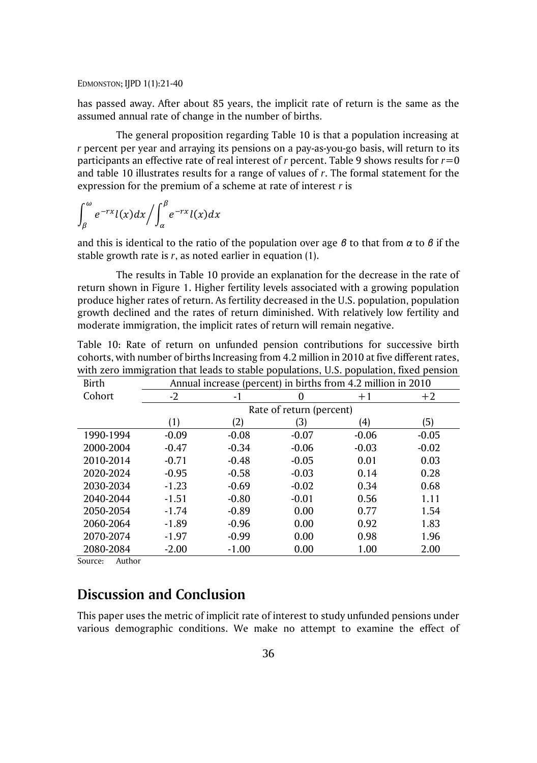has passed away. After about 85 years, the implicit rate of return is the same as the assumed annual rate of change in the number of births.

The general proposition regarding Table 10 is that a population increasing at *r* percent per year and arraying its pensions on a pay-as-you-go basis, will return to its participants an effective rate of real interest of *r* percent. Table 9 shows results for *r*=0 and table 10 illustrates results for a range of values of *r*. The formal statement for the expression for the premium of a scheme at rate of interest *r* is

$$
\int_{\beta}^{\omega} e^{-rx} l(x) dx / \int_{\alpha}^{\beta} e^{-rx} l(x) dx
$$

and this is identical to the ratio of the population over age *β* to that from *α* to *β* if the stable growth rate is *r*, as noted earlier in equation (1).

The results in Table 10 provide an explanation for the decrease in the rate of return shown in Figure 1. Higher fertility levels associated with a growing population produce higher rates of return. As fertility decreased in the U.S. population, population growth declined and the rates of return diminished. With relatively low fertility and moderate immigration, the implicit rates of return will remain negative.

|                                   |  |  |  | Table 10: Rate of return on unfunded pension contributions for successive birth                |  |  |
|-----------------------------------|--|--|--|------------------------------------------------------------------------------------------------|--|--|
|                                   |  |  |  | cohorts, with number of births Increasing from 4.2 million in 2010 at five different rates,    |  |  |
|                                   |  |  |  | with zero immigration that leads to stable populations, U.S. population, fixed pension         |  |  |
| $\mathbf{D}^*$ and $\mathbf{D}^*$ |  |  |  | $\lambda$ if $\lambda$ is the set of $\lambda$ is the set of $\lambda$ is the set of $\lambda$ |  |  |

| Birth     | Annual increase (percent) in births from 4.2 million in 2010 |         |         |         |         |
|-----------|--------------------------------------------------------------|---------|---------|---------|---------|
| Cohort    | $-2$                                                         | -1      | 0       | $+1$    | $+2$    |
|           | Rate of return (percent)                                     |         |         |         |         |
|           | (1)                                                          | 2)      | (3)     | (4)     | (5)     |
| 1990-1994 | $-0.09$                                                      | $-0.08$ | $-0.07$ | $-0.06$ | $-0.05$ |
| 2000-2004 | $-0.47$                                                      | $-0.34$ | $-0.06$ | $-0.03$ | $-0.02$ |
| 2010-2014 | $-0.71$                                                      | $-0.48$ | $-0.05$ | 0.01    | 0.03    |
| 2020-2024 | $-0.95$                                                      | $-0.58$ | $-0.03$ | 0.14    | 0.28    |
| 2030-2034 | $-1.23$                                                      | $-0.69$ | $-0.02$ | 0.34    | 0.68    |
| 2040-2044 | $-1.51$                                                      | $-0.80$ | $-0.01$ | 0.56    | 1.11    |
| 2050-2054 | $-1.74$                                                      | $-0.89$ | 0.00    | 0.77    | 1.54    |
| 2060-2064 | $-1.89$                                                      | $-0.96$ | 0.00    | 0.92    | 1.83    |
| 2070-2074 | $-1.97$                                                      | $-0.99$ | 0.00    | 0.98    | 1.96    |
| 2080-2084 | $-2.00$                                                      | $-1.00$ | 0.00    | 1.00    | 2.00    |

Source: Author

## **Discussion and Conclusion**

This paper uses the metric of implicit rate of interest to study unfunded pensions under various demographic conditions. We make no attempt to examine the effect of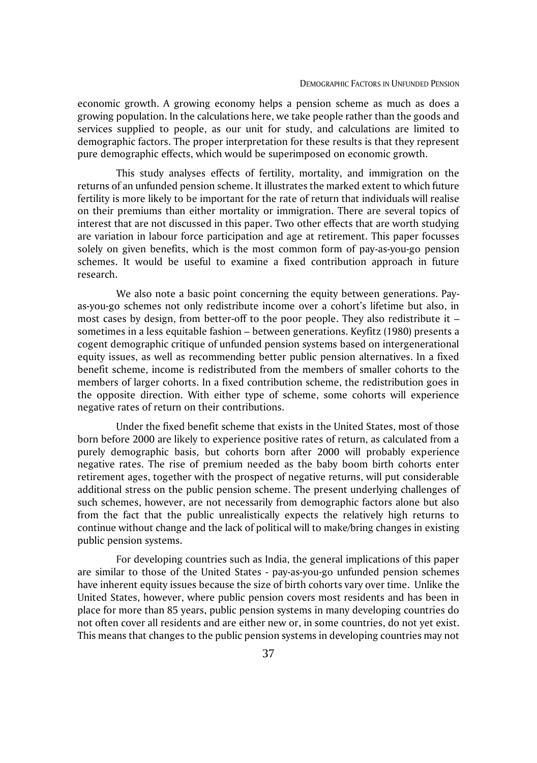economic growth. A growing economy helps a pension scheme as much as does a growing population. In the calculations here, we take people rather than the goods and services supplied to people, as our unit for study, and calculations are limited to demographic factors. The proper interpretation for these results is that they represent pure demographic effects, which would be superimposed on economic growth.

This study analyses effects of fertility, mortality, and immigration on the returns of an unfunded pension scheme. It illustrates the marked extent to which future fertility is more likely to be important for the rate of return that individuals will realise on their premiums than either mortality or immigration. There are several topics of interest that are not discussed in this paper. Two other effects that are worth studying are variation in labour force participation and age at retirement. This paper focusses solely on given benefits, which is the most common form of pay-as-you-go pension schemes. It would be useful to examine a fixed contribution approach in future research.

We also note a basic point concerning the equity between generations. Payas-you-go schemes not only redistribute income over a cohort's lifetime but also, in most cases by design, from better-off to the poor people. They also redistribute it – sometimes in a less equitable fashion – between generations. Keyfitz (1980) presents a cogent demographic critique of unfunded pension systems based on intergenerational equity issues, as well as recommending better public pension alternatives. In a fixed benefit scheme, income is redistributed from the members of smaller cohorts to the members of larger cohorts. In a fixed contribution scheme, the redistribution goes in the opposite direction. With either type of scheme, some cohorts will experience negative rates of return on their contributions.

Under the fixed benefit scheme that exists in the United States, most of those born before 2000 are likely to experience positive rates of return, as calculated from a purely demographic basis, but cohorts born after 2000 will probably experience negative rates. The rise of premium needed as the baby boom birth cohorts enter retirement ages, together with the prospect of negative returns, will put considerable additional stress on the public pension scheme. The present underlying challenges of such schemes, however, are not necessarily from demographic factors alone but also from the fact that the public unrealistically expects the relatively high returns to continue without change and the lack of political will to make/bring changes in existing public pension systems.

For developing countries such as India, the general implications of this paper are similar to those of the United States - pay-as-you-go unfunded pension schemes have inherent equity issues because the size of birth cohorts vary over time. Unlike the United States, however, where public pension covers most residents and has been in place for more than 85 years, public pension systems in many developing countries do not often cover all residents and are either new or, in some countries, do not yet exist. This means that changes to the public pension systems in developing countries may not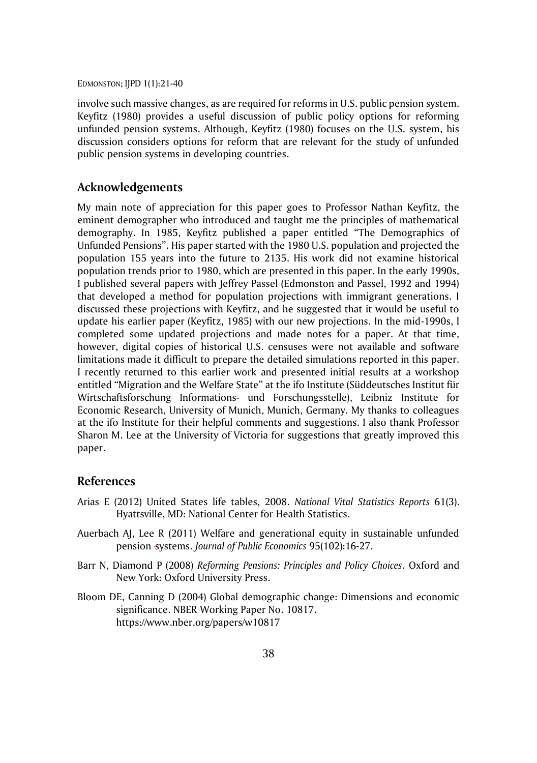involve such massive changes, as are required for reforms in U.S. public pension system. Keyfitz (1980) provides a useful discussion of public policy options for reforming unfunded pension systems. Although, Keyfitz (1980) focuses on the U.S. system, his discussion considers options for reform that are relevant for the study of unfunded public pension systems in developing countries.

### **Acknowledgements**

My main note of appreciation for this paper goes to Professor Nathan Keyfitz, the eminent demographer who introduced and taught me the principles of mathematical demography. In 1985, Keyfitz published a paper entitled "The Demographics of Unfunded Pensions". His paper started with the 1980 U.S. population and projected the population 155 years into the future to 2135. His work did not examine historical population trends prior to 1980, which are presented in this paper. In the early 1990s, I published several papers with Jeffrey Passel (Edmonston and Passel, 1992 and 1994) that developed a method for population projections with immigrant generations. I discussed these projections with Keyfitz, and he suggested that it would be useful to update his earlier paper (Keyfitz, 1985) with our new projections. In the mid-1990s, I completed some updated projections and made notes for a paper. At that time, however, digital copies of historical U.S. censuses were not available and software limitations made it difficult to prepare the detailed simulations reported in this paper. I recently returned to this earlier work and presented initial results at a workshop entitled "Migration and the Welfare State" at the ifo Institute (Süddeutsches Institut für Wirtschaftsforschung Informations- und Forschungsstelle), Leibniz Institute for Economic Research, University of Munich, Munich, Germany. My thanks to colleagues at the ifo Institute for their helpful comments and suggestions. I also thank Professor Sharon M. Lee at the University of Victoria for suggestions that greatly improved this paper.

### **References**

- Arias E (2012) United States life tables, 2008. *National Vital Statistics Reports* 61(3). Hyattsville, MD: National Center for Health Statistics.
- Auerbach AJ, Lee R (2011) Welfare and generational equity in sustainable unfunded pension systems. *Journal of Public Economics* 95(102):16-27.
- Barr N, Diamond P (2008) *Reforming Pensions: Principles and Policy Choices*. Oxford and New York: Oxford University Press.
- Bloom DE, Canning D (2004) Global demographic change: Dimensions and economic significance. NBER Working Paper No. 10817. https://www.nber.org/papers/w10817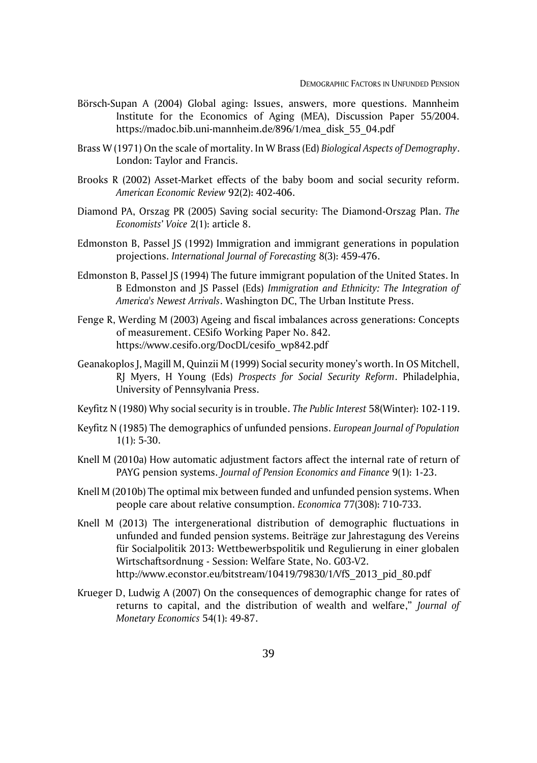- Börsch-Supan A (2004) Global aging: Issues, answers, more questions. Mannheim Institute for the Economics of Aging (MEA), Discussion Paper 55/2004. https://madoc.bib.uni-mannheim.de/896/1/mea\_disk\_55\_04.pdf
- Brass W (1971) On the scale of mortality. In W Brass (Ed) *Biological Aspects of Demography*. London: Taylor and Francis.
- Brooks R (2002) Asset-Market effects of the baby boom and social security reform. *American Economic Review* 92(2): 402-406.
- Diamond PA, Orszag PR (2005) Saving social security: The Diamond-Orszag Plan. *The Economists' Voice* 2(1): article 8.
- Edmonston B, Passel JS (1992) Immigration and immigrant generations in population projections. *International Journal of Forecasting* 8(3): 459-476.
- Edmonston B, Passel JS (1994) The future immigrant population of the United States. In B Edmonston and JS Passel (Eds) *Immigration and Ethnicity: The Integration of America's Newest Arrivals*. Washington DC, The Urban Institute Press.
- Fenge R, Werding M (2003) Ageing and fiscal imbalances across generations: Concepts of measurement. CESifo Working Paper No. 842. https://www.cesifo.org/DocDL/cesifo\_wp842.pdf
- Geanakoplos J, Magill M, Quinzii M (1999) Social security money's worth. In OS Mitchell, RJ Myers, H Young (Eds) *Prospects for Social Security Reform*. Philadelphia, University of Pennsylvania Press.
- Keyfitz N (1980) Why social security is in trouble. *The Public Interest* 58(Winter): 102-119.
- Keyfitz N (1985) The demographics of unfunded pensions. *European Journal of Population*  $1(1): 5-30.$
- Knell M (2010a) How automatic adjustment factors affect the internal rate of return of PAYG pension systems. *Journal of Pension Economics and Finance* 9(1): 1-23.
- Knell M (2010b) The optimal mix between funded and unfunded pension systems. When people care about relative consumption. *Economica* 77(308): 710-733.
- Knell M (2013) The intergenerational distribution of demographic fluctuations in unfunded and funded pension systems. Beiträge zur Jahrestagung des Vereins für Socialpolitik 2013: Wettbewerbspolitik und Regulierung in einer globalen Wirtschaftsordnung - Session: Welfare State, No. G03-V2. [http://www.econstor.eu/bitstream/10419/79830/1/VfS\\_2013\\_pid\\_80.pdf](http://www.econstor.eu/bitstream/10419/79830/1/VfS_2013_pid_80.pdf)
- Krueger D, Ludwig A (2007) On the consequences of demographic change for rates of returns to capital, and the distribution of wealth and welfare," *Journal of Monetary Economics* 54(1): 49-87.